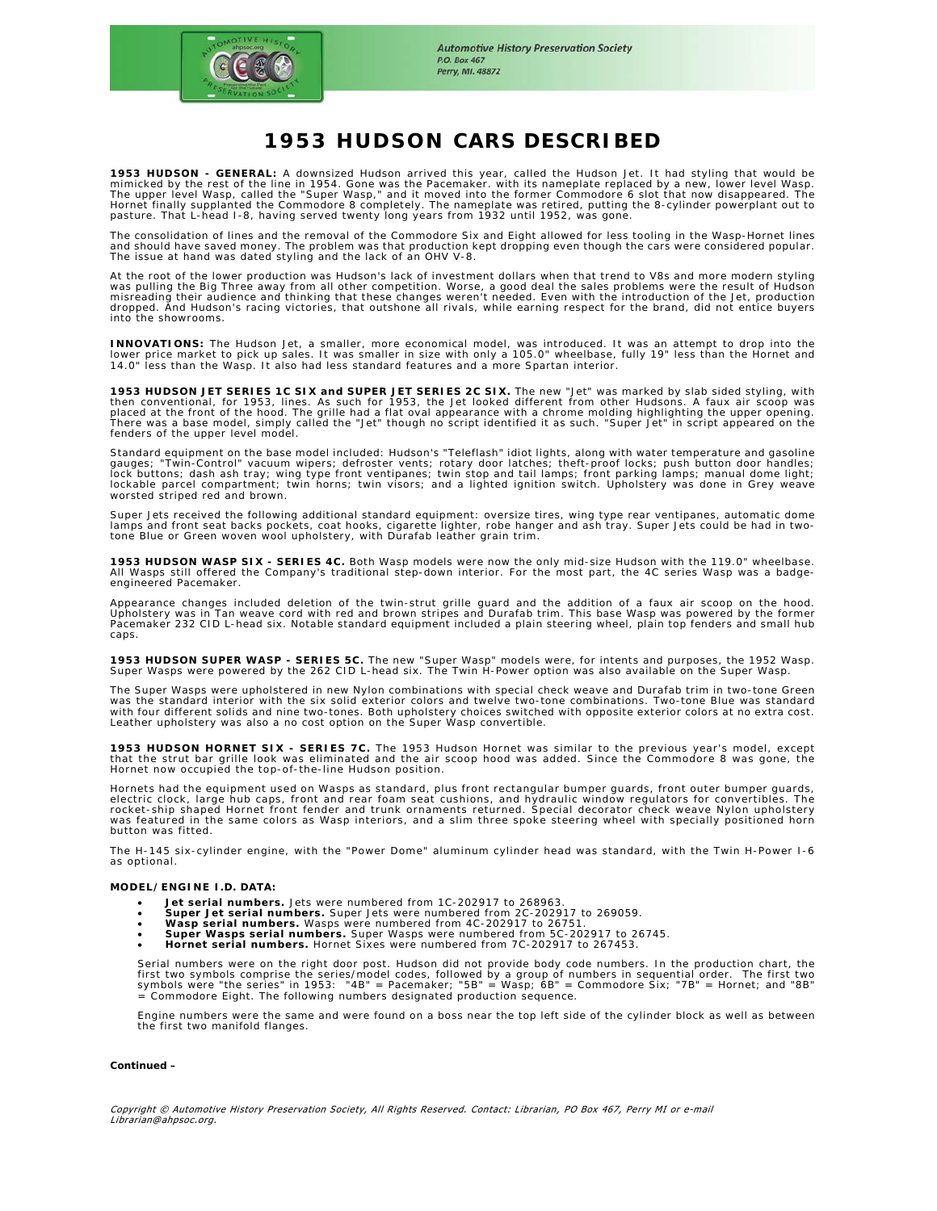

# **1953 HUDSON CARS DESCRIBED**

**1953 HUDSON - GENERAL:** A downsized Hudson arrived this year, called the Hudson Jet. It had styling that would be mimicked by the rest of the line in 1954. Gone was the Pacemaker. with its nameplate replaced by a new, lower level Wasp.<br>The upper level Wasp, called the "Super Wasp," and it moved into the former Commodore 6 slot that no

The consolidation of lines and the removal of the Commodore Six and Eight allowed for less tooling in the Wasp-Hornet lines and should have saved money. The problem was that production kept dropping even though the cars were considered popular. The issue at hand was dated styling and the lack of an OHV V-8.

At the root of the lower production was Hudson's lack of investment dollars when that trend to V8s and more modern styling<br>was pulling the Big Three away from all other competition. Worse, a good deal the sales problems we dropped. And Hudson's racing victories, that outshone all rivals, while earning respect for the brand, did not entice buyers into the showrooms.

**INNOVATIONS:** The Hudson Jet, a smaller, more economical model, was introduced. It was an attempt to drop into the lower price market to pick up sales. It was smaller in size with only a 105.0" wheelbase, fully 19" less than the Hornet and<br>14.0" less than the Wasp. It also had less standard features and a more Spartan interior.

**1953 HUDSON JET SERIES 1C SIX and SUPER JET SERIES 2C SIX.** The new "Jet" was marked by slab sided styling, with then conventional, for 1953, lines. As such for 1953, the Jet looked different from other Hudsons. A faux air scoop was<br>placed at the front of the hood. The grille had a flat oval appearance with a chrome molding highlight fenders of the upper level model.

Standard equipment on the base model included: Hudson's "Teleflash" idiot lights, along with water temperature and gasoline gauges; "Twin-Control" vacuum wipers; defroster vents; rotary door latches; theft-proof locks; push button door handles;<br>lock buttons; dash ash tray; wing type front ventipanes; twin stop and tail lamps; front parking lamp

Super Jets received the following additional standard equipment: oversize tires, wing type rear ventipanes, automatic dome lamps and front seat backs pockets, coat hooks, cigarette lighter, robe hanger and ash tray. Super Jets could be had in two-tone Blue or Green woven wool upholstery, with Durafab leather grain trim.

**1953 HUDSON WASP SIX - SERIES 4C.** Both Wasp models were now the only mid-size Hudson with the 119.0" wheelbase.<br>All Wasps still offered the Company's traditional step-down interior. For the most part, the 4C series Wasp engineered Pacemaker.

Appearance changes included deletion of the twin-strut grille guard and the addition of a faux air scoop on the hood.<br>Upholstery was in Tan weave cord with red and brown stripes and Durafab trim. This base Wasp was powered Pacemaker 232 CID L-head six. Notable standard equipment included a plain steering wheel, plain top fenders and small hub caps.

**1953 HUDSON SUPER WASP - SERIES 5C.** The new "Super Wasp" models were, for intents and purposes, the 1952 Wasp.<br>Super Wasps were powered by the 262 CID L-head six. The Twin H-Power option was also available on the Super W

The Super Wasps were upholstered in new Nylon combinations with special check weave and Durafab trim in two-tone Green was the standard interior with the six solid exterior colors and twelve two-tone combinations. Two-tone Blue was standard<br>with four different solids and nine two-tones. Both upholstery choices switched with opposite exteri

**1953 HUDSON HORNET SIX - SERIES 7C.** The 1953 Hudson Hornet was similar to the previous year's model, except<br>that the strut bar grille look was eliminated and the air scoop hood was added. Since the Commodore 8 was gone,

Hornets had the equipment used on Wasps as standard, plus front rectangular bumper guards, front outer bumper guards,<br>electric clock, large hub caps, front and rear foam seat cushions, and hydraulic window regulators for c was featured in the same colors as Wasp interiors, and a slim three spoke steering wheel with specially positioned horn button was fitted.

The H-145 six-cylinder engine, with the "Power Dome" aluminum cylinder head was standard, with the Twin H-Power I-6 as optional.

### **MODEL/ENGINE I.D. DATA:**

- 
- **Jet serial numbers.** Jets were numbered from 1C-202917 to 268963. **Super Jet serial numbers.** Super Jets were numbered from 2C-202917 to 269059.
- **Wasp serial numbers.** Wasps were numbered from 4C-202917 to 26751.
- **Super Wasps serial numbers.** Super Wasps were numbered from 5C-202917 to 26745.<br>• **Hornet serial numbers.** Hornet Sixes were numbered from 7C-202917 to 267453.

Serial numbers were on the right door post. Hudson did not provide body code numbers. In the production chart, the<br>first two symbols comprise the series/model codes, followed by a group of numbers in sequential order. The  $\frac{1}{2}$  Commodore Eight. The following numbers designated production sequence.

Engine numbers were the same and were found on a boss near the top left side of the cylinder block as well as between the first two manifold flanges.

### *Continued –*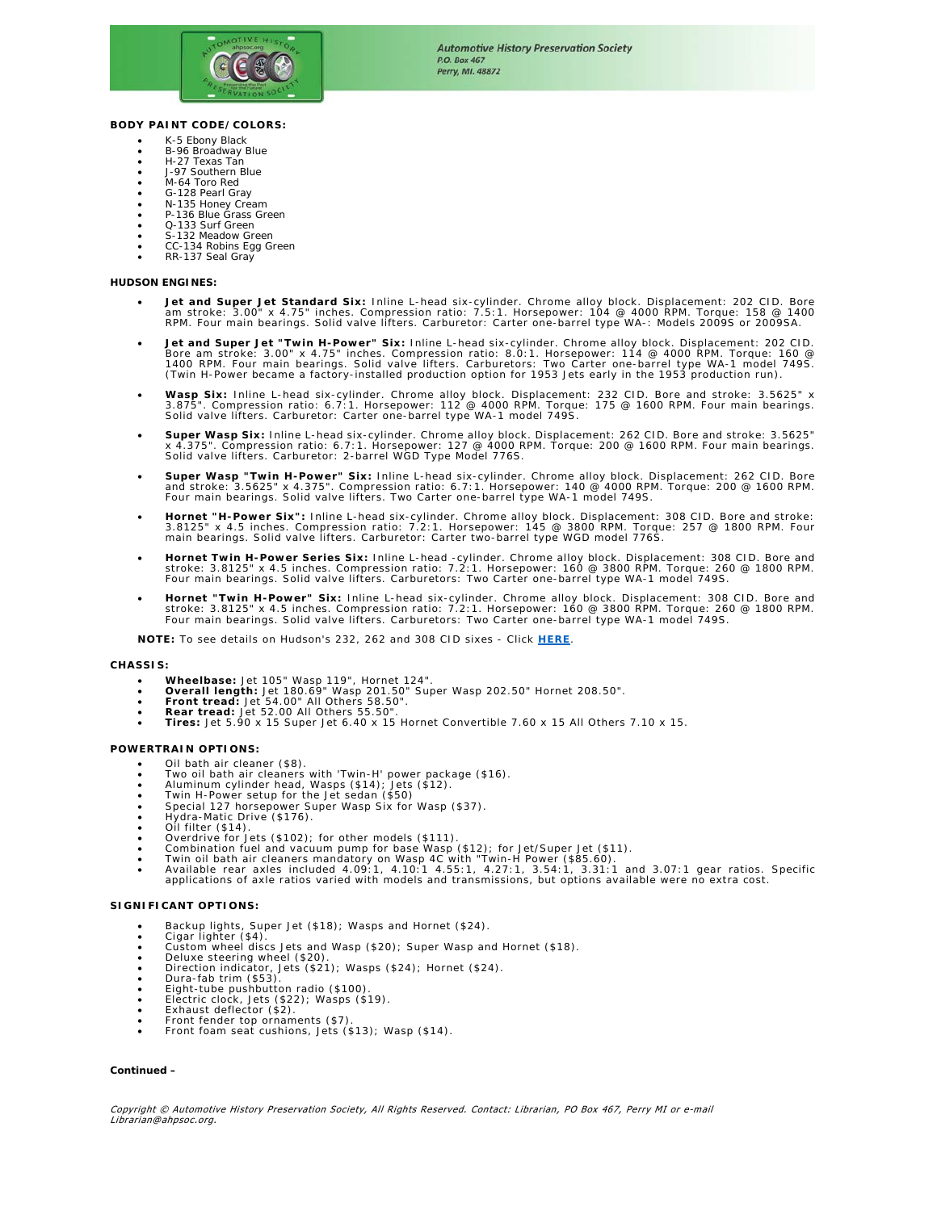

### **BODY PAINT CODE/COLORS:**

- K-5 Ebony Black
- B-96 Broadway Blue H-27 Texas Tan
- J-97 Southern Blue
- M-64 Toro Red
- G-128 Pearl Gray
- N-135 Honey Cream P-136 Blue Grass Green
- 
- Q-133 Surf Green S-132 Meadow Green
- CC-134 Robins Egg Green
- RR-137 Seal Gray

### **HUDSON ENGINES:**

- Jet and Super Jet Standard Six: Inline L-head six-cylinder. Chrome alloy block. Displacement: 202 CID. Bore •<br>am stroke: 3.00" x 4.75" inches. Compression ratio: 7.5:1. Horsepower: 104 @ 4000 RPM. Torque: 158 @ 1400<br>RPM. F
- **Jet and Super Jet "Twin H-Power" Six:** Inline L-head six-cylinder. Chrome alloy block. Displacement: 202 CID. Bore am stroke: 3.00" x 4.75" inches. Compression ratio: 8.0:1. Horsepower: 114 @ 4000 RPM. Torque: 160 @<br>1400 RPM. Four main bearings. Solid valve lifters. Carburetors: Two Carter one-barrel type WA-1 model 749S.<br>(Twin H-
- Wasp Six: Inline L-head six-cylinder. Chrome alloy block. Displacement: 232 CID. Bore and stroke: 3.5625" x<br>3.875". Compression ratio: 6.7:1. Horsepower: 112 @ 4000 RPM. Torque: 175 @ 1600 RPM. Four main bearings.<br>Solid
- Super Wasp Six: Inline L-head six-cylinder. Chrome alloy block. Displacement: 262 CID. Bore and stroke: 3.5625"<br>x 4.375". Compression ratio: 6.7:1. Horsepower: 127 @ 4000 RPM. Torque: 200 @ 1600 RPM. Four main bearings.<br>So
- Super Wasp "Twin H-Power" Six: Inline L-head six-cylinder. Chrome alloy block. Displacement: 262 CID. Bore and stroke: 3.5625" x 4.375". Compression ratio: 6.7:1. Horsepower: 140 @ and stroke: 3.5625" x 4.375". Compression
- Hornet "H-Power Six": Inline L-head six-cylinder. Chrome alloy block. Displacement: 308 CID. Bore and stroke:<br>3.8125" x 4.5 inches. Compression ratio: 7.2:1. Horsepower: 145 @ 3800 RPM. Forque: 257 @ 1800 RPM. Four<br>main
- **Hornet Twin H-Power Series Six:** Inline L-head -cylinder. Chrome alloy block. Displacement: 308 CID. Bore and<br>- stroke: 3.8125" x 4.5 inches. Compression ratio: 7.2:1. Horsepower: 160 @ 3800 RPM.<br>- Four main bearings. S
- **Hornet "Twin H-Power" Six:** Inline L-head six-cylinder. Chrome alloy block. Displacement: 308 CID. Bore and stroke: 3.8125" x 4.5 inches. Compression ratio: 7.2:1. Horsepower: 160 @ 3800 RPM. Torque: 260 @ 1800 RPM. Four main bearings. Solid valve lifters. Carburetors: Two Carter one-barrel type WA-1 model 749S.

**NOTE:** To see details on Hudson's 232, 262 and 308 CID sixes - Click *HERE*.

#### **CHASSIS:**

- 
- 
- 
- 
- Wheelbase: Jet 105" Wasp 119", Hornet 124".<br>• Overall length: Jet 180.69" Wasp 201.50" Super Wasp 202.50" Hornet 208.50".<br>• Front tread: Jet 54.00" All Others 58.50".<br>• Rear tread: Jet 52.00 All Others 55.50".<br>• Tires: J

#### **POWERTRAIN OPTIONS:**

- Oil bath air cleaner (\$8).
- Two oil bath air cleaners with 'Twin-H' power package (\$16).<br>• Aluminum cylinder head, Wasps (\$14); Jets (\$12).<br>• Twin H-Power setup for the Jet sedan (\$50)<br>• Special 127 horsepower Super Wasp Six for Wasp (\$37).<br>• Hydra
- 
- 
- 
- 
- Oil filter (\$14).
- 
- 
- Overdrive for Jets (\$102); for other models (\$111).<br>• Combination fuel and vacuum pump for base Wasp (\$12); for Jet/Super Jet (\$11).<br>• Twin oil bath air cleaners mandatory on Wasp 4C with "Twin-H Power (\$85.60 applications of axle ratios varied with models and transmissions, but options available were no extra cost.

### **SIGNIFICANT OPTIONS:**

- Backup lights, Super Jet (\$18); Wasps and Hornet (\$24).
- Cigar lighter (\$4).
- Custom wheel discs Jets and Wasp (\$20); Super Wasp and Hornet (\$18).<br>• Deluxe steering wheel (\$20).<br>• Direction indicator, Jets (\$21); Wasps (\$24); Hornet (\$24).<br>• Dura-fab trim (\$53).
- 
- 
- 
- Eight-tube pushbutton radio (\$100)
- Electric clock, Jets (\$22); Wasps (\$19). Exhaust deflector (\$2).
- 
- Front fender top ornaments (\$7). Front foam seat cushions, Jets (\$13); Wasp (\$14).

## *Continued –*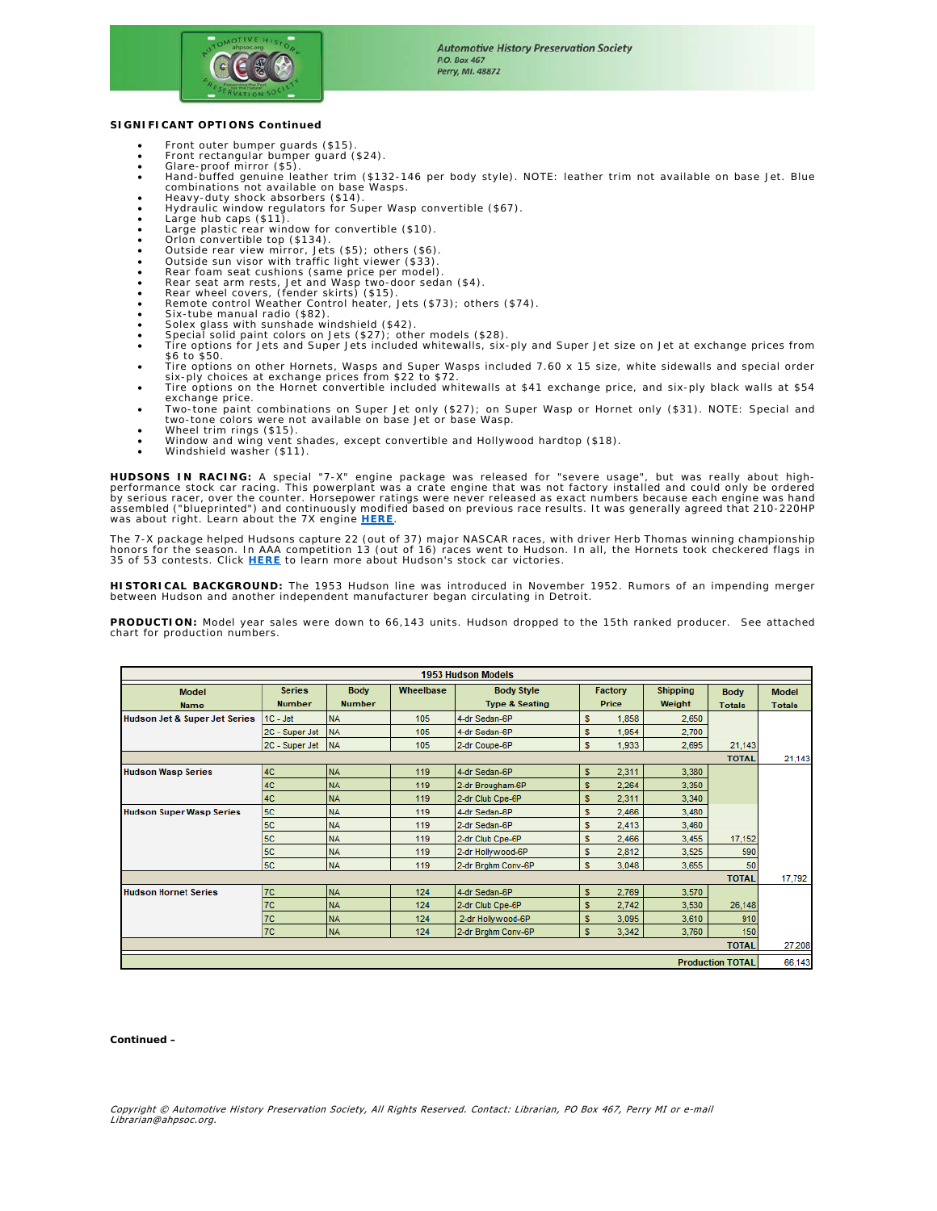

### **SIGNIFICANT OPTIONS Continued**

- Front outer bumper guards (\$15).
- Front rectangular bumper guard (\$24). Glare-proof mirror (\$5).
- 
- Hand-buffed genuine leather trim (\$132-146 per body style). NOTE: leather trim not available on base Jet. Blue combinations not available on base Wasps. Heavy-duty shock absorbers (\$14).
- 
- Hydraulic window regulators for Super Wasp convertible (\$67).<br>• Large hub caps (\$11).<br>• Large plastic rear window for convertible (\$10).
- 
- 
- 
- 
- Orlon convertible top (\$134).<br>• Outside rear view mirror, Jets (\$5); others (\$6).<br>• Outside sun visor with traffic light viewer (\$33).<br>• Rear foam seat cushions (same price per model).<br>• Rear wheel covers, (fender skirts
- 
- 
- Six-tube manual radio (\$82).
- Solex glass with sunshade windshield (\$42). Special solid paint colors on Jets (\$27); other models (\$28).
- Tire options for Jets and Super Jets included whitewalls, six-ply and Super Jet size on Jet at exchange prices from \$6 to \$50.
- Tire options on other Hornets, Wasps and Super Wasps included 7.60 x 15 size, white sidewalls and special order<br>- six-ply choices at exchange prices from \$22 to \$72.<br>• Tire options on the Hornet convertible included whitew
- exchange price.
- Two-tone paint combinations on Super Jet only (\$27); on Super Wasp or Hornet only (\$31). NOTE: Special and two-tone colors were not available on base Jet or base Wasp.
- Wheel trim rings (\$15). Window and wing vent shades, except convertible and Hollywood hardtop (\$18).
- Windshield washer (\$11).

**HUDSONS IN RACING:** A special "7-X" engine package was released for "severe usage", but was really about high-<br>performance stock car racing. This powerplant was a crate engine that was not factory installed and could only by serious racer, over the counter. Horsepower ratings were never released as exact numbers because each engine was hand<br>assembled ("blueprinted") and continuously modified based on previous race results. It was generally was about right. Learn about the 7X engine **HERE**.

The 7-X package helped Hudsons capture 22 (out of 37) major NASCAR races, with driver Herb Thomas winning championship<br>honors for the season. In AAA competition 13 (out of 16) races went to Hudson. In all, the Hornets took 35 of 53 contests. Click **HERE** to learn more about Hudson's stock car victories.

**HISTORICAL BACKGROUND:** The 1953 Hudson line was introduced in November 1952. Rumors of an impending merger between Hudson and another independent manufacturer began circulating in Detroit.

**PRODUCTION:** Model year sales were down to 66,143 units. Hudson dropped to the 15th ranked producer. See attached chart for production numbers.

| <b>1953 Hudson Models</b>                |                                |                              |           |                                                |                  |       |                           |                              |                               |
|------------------------------------------|--------------------------------|------------------------------|-----------|------------------------------------------------|------------------|-------|---------------------------|------------------------------|-------------------------------|
| <b>Model</b><br><b>Name</b>              | <b>Series</b><br><b>Number</b> | <b>Body</b><br><b>Number</b> | Wheelbase | <b>Body Style</b><br><b>Type &amp; Seating</b> | Factory<br>Price |       | <b>Shipping</b><br>Weight | <b>Body</b><br><b>Totals</b> | <b>Model</b><br><b>Totals</b> |
| <b>Hudson Jet &amp; Super Jet Series</b> | $1C - Jet$                     | <b>NA</b>                    | 105       | 4-dr Sedan-6P                                  | s                | 1,858 | 2,650                     |                              |                               |
|                                          | 2C - Super Jet                 | <b>NA</b>                    | 105       | 4-dr Sedan-6P                                  | s                | 1,954 | 2,700                     |                              |                               |
|                                          | 2C - Super Jet                 | <b>NA</b>                    | 105       | 2-dr Coupe-6P                                  | s                | 1,933 | 2,695                     | 21,143                       |                               |
| <b>TOTAL</b>                             |                                |                              |           |                                                |                  |       |                           |                              | 21,143                        |
| <b>Hudson Wasp Series</b>                | 4C                             | <b>NA</b>                    | 119       | 4-dr Sedan-6P                                  | s                | 2,311 | 3,380                     |                              |                               |
|                                          | 4C                             | <b>NA</b>                    | 119       | 2-dr Brougham-6P                               | s                | 2,264 | 3,350                     |                              |                               |
|                                          | 4C                             | <b>NA</b>                    | 119       | 2-dr Club Cpe-6P                               | s                | 2,311 | 3,340                     |                              |                               |
| <b>Hudson Super Wasp Series</b>          | 5C                             | <b>NA</b>                    | 119       | 4-dr Sedan-6P                                  | s                | 2,466 | 3,480                     |                              |                               |
|                                          | 5C                             | <b>NA</b>                    | 119       | 2-dr Sedan-6P                                  | s                | 2,413 | 3,460                     |                              |                               |
|                                          | 5C                             | <b>NA</b>                    | 119       | 2-dr Club Cpe-6P                               | s                | 2,466 | 3,455                     | 17,152                       |                               |
|                                          | <b>5C</b>                      | <b>NA</b>                    | 119       | 2-dr Hollywood-6P                              | s                | 2,812 | 3.525                     | 590                          |                               |
|                                          | 5C                             | <b>NA</b>                    | 119       | 2-dr Brghm Conv-6P                             | s                | 3,048 | 3,655                     | 50                           |                               |
| <b>TOTAL</b>                             |                                |                              |           |                                                |                  |       |                           |                              | 17,792                        |
| <b>Hudson Hornet Series</b>              | 7C                             | <b>NA</b>                    | 124       | 4-dr Sedan-6P                                  | s                | 2,769 | 3,570                     |                              |                               |
|                                          | 7 <sup>C</sup>                 | <b>NA</b>                    | 124       | 2-dr Club Cpe-6P                               | s                | 2,742 | 3,530                     | 26,148                       |                               |
|                                          | 7 <sup>C</sup>                 | <b>NA</b>                    | 124       | 2-dr Hollywood-6P                              | s                | 3,095 | 3,610                     | 910                          |                               |
|                                          | <b>7C</b>                      | <b>NA</b>                    | 124       | 2-dr Brghm Conv-6P                             | s                | 3,342 | 3,760                     | 150                          |                               |
|                                          |                                |                              |           |                                                |                  |       |                           | <b>TOTAL</b>                 | 27,208                        |
| <b>Production TOTAL</b>                  |                                |                              |           |                                                |                  |       |                           |                              | 66,143                        |

*Continued –*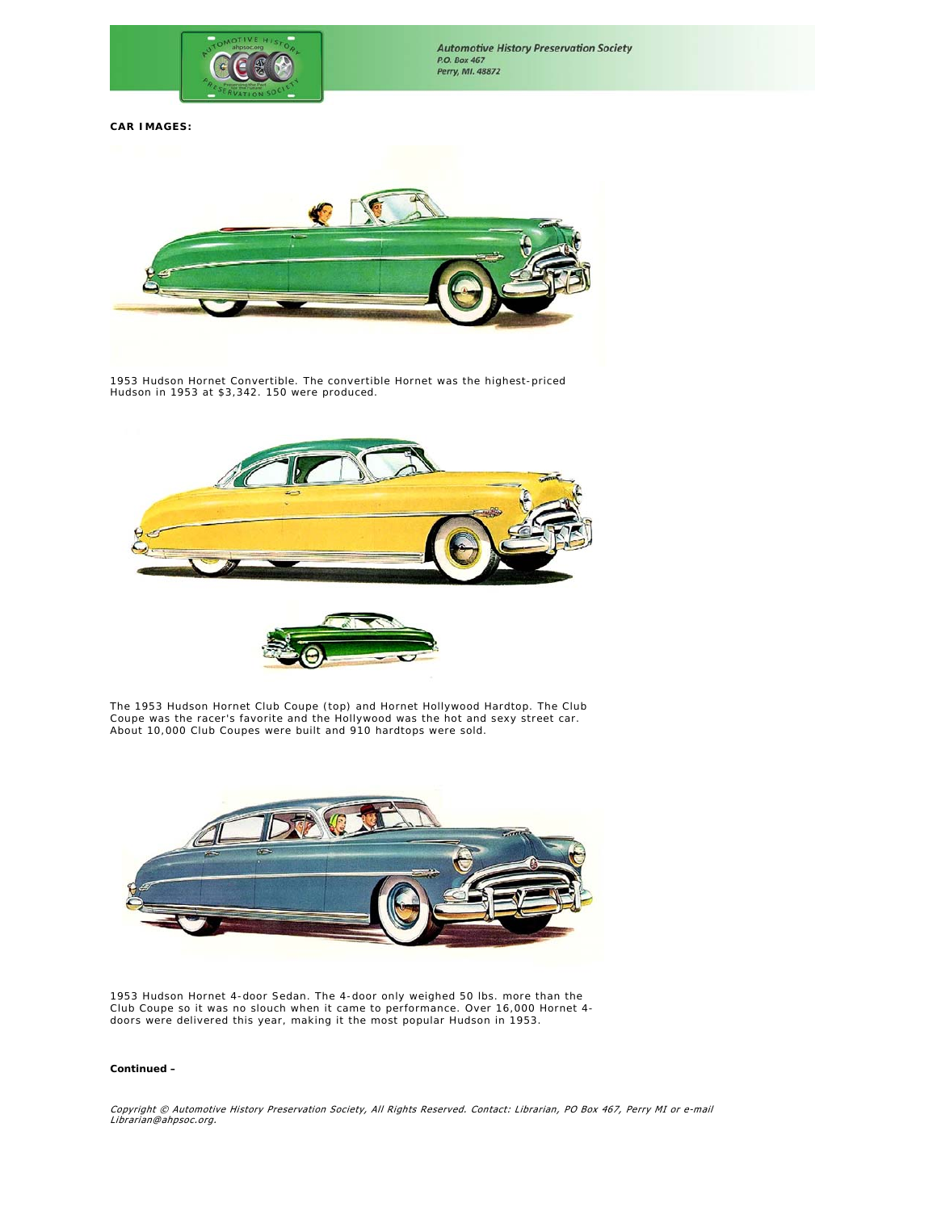

# **CAR IMAGES:**



1953 Hudson Hornet Convertible. The convertible Hornet was the highest-priced Hudson in 1953 at \$3,342. 150 were produced.





The 1953 Hudson Hornet Club Coupe (top) and Hornet Hollywood Hardtop. The Club Coupe was the racer's favorite and the Hollywood was the hot and sexy street car. About 10,000 Club Coupes were built and 910 hardtops were sold.



1953 Hudson Hornet 4-door Sedan. The 4-door only weighed 50 lbs. more than the Club Coupe so it was no slouch when it came to performance. Over 16,000 Hornet 4 doors were delivered this year, making it the most popular Hudson in 1953.

#### *Continued –*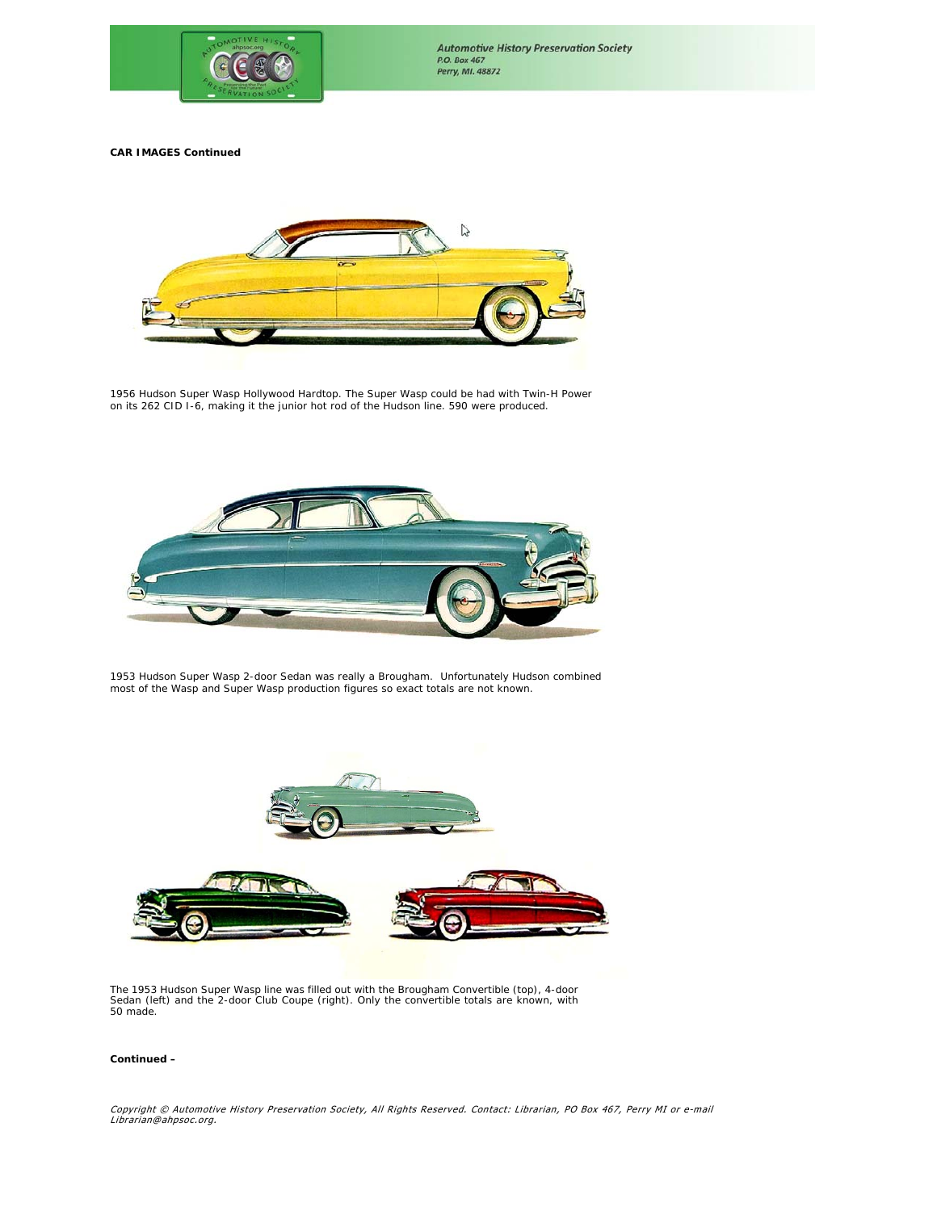

**CAR IMAGES Continued** 



1956 Hudson Super Wasp Hollywood Hardtop. The Super Wasp could be had with Twin-H Power on its 262 CID I-6, making it the junior hot rod of the Hudson line. 590 were produced.



1953 Hudson Super Wasp 2-door Sedan was really a Brougham. Unfortunately Hudson combined most of the Wasp and Super Wasp production figures so exact totals are not known.



The 1953 Hudson Super Wasp line was filled out with the Brougham Convertible (top), 4-door Sedan (left) and the 2-door Club Coupe (right). Only the convertible totals are known, with 50 made.

### *Continued –*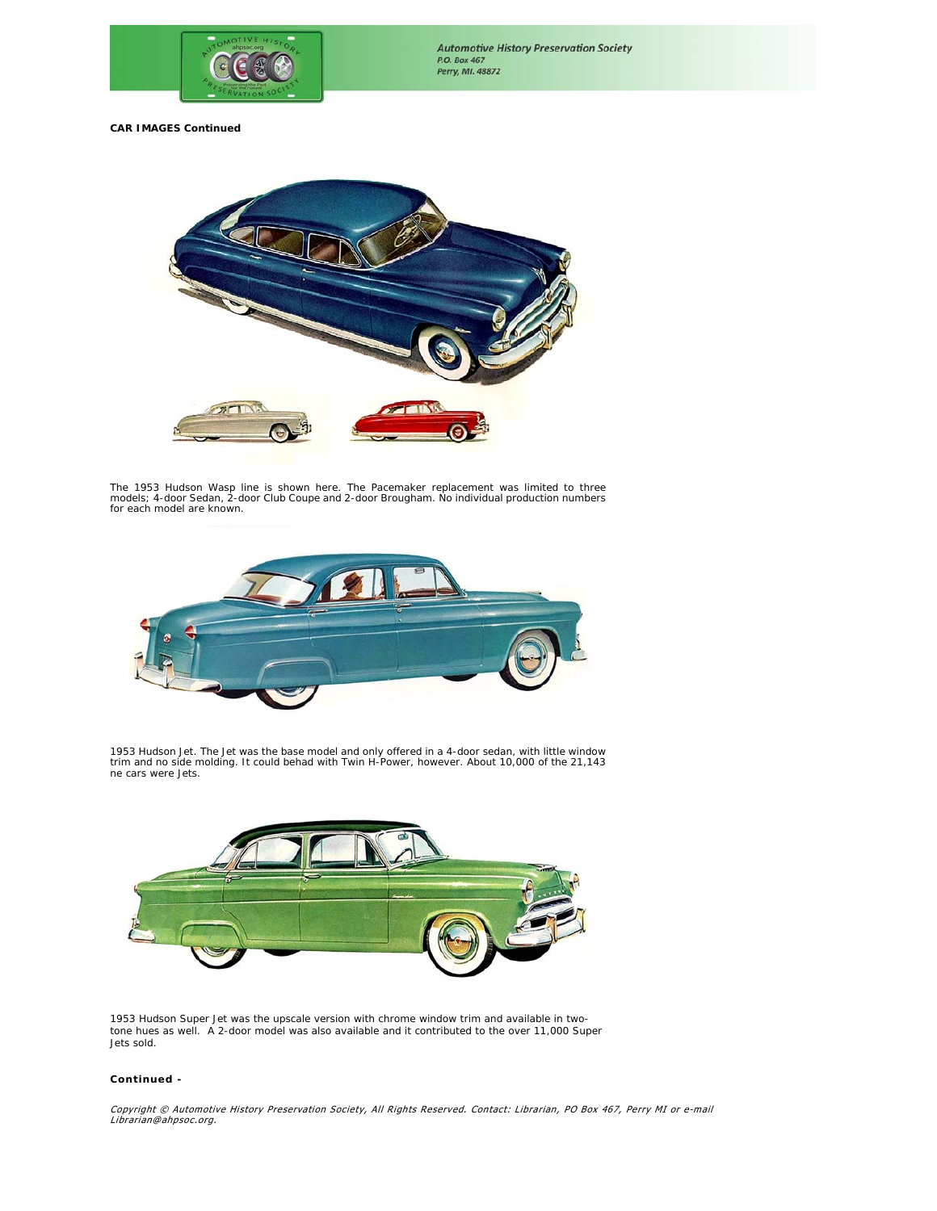

**CAR IMAGES Continued**



The 1953 Hudson Wasp line is shown here. The Pacemaker replacement was limited to three<br>models; 4-door Sedan, 2-door Club Coupe and 2-door Brougham. No individual production numbers<br>for each model are known.



1953 Hudson Jet. The Jet was the base model and only offered in a 4-door sedan, with little window trim and no side molding. It could behad with Twin H-Power, however. About 10,000 of the 21,143 ne cars were Jets.



1953 Hudson Super Jet was the upscale version with chrome window trim and available in two-tone hues as well. A 2-door model was also available and it contributed to the over 11,000 Super Jets sold.

### *Continued -*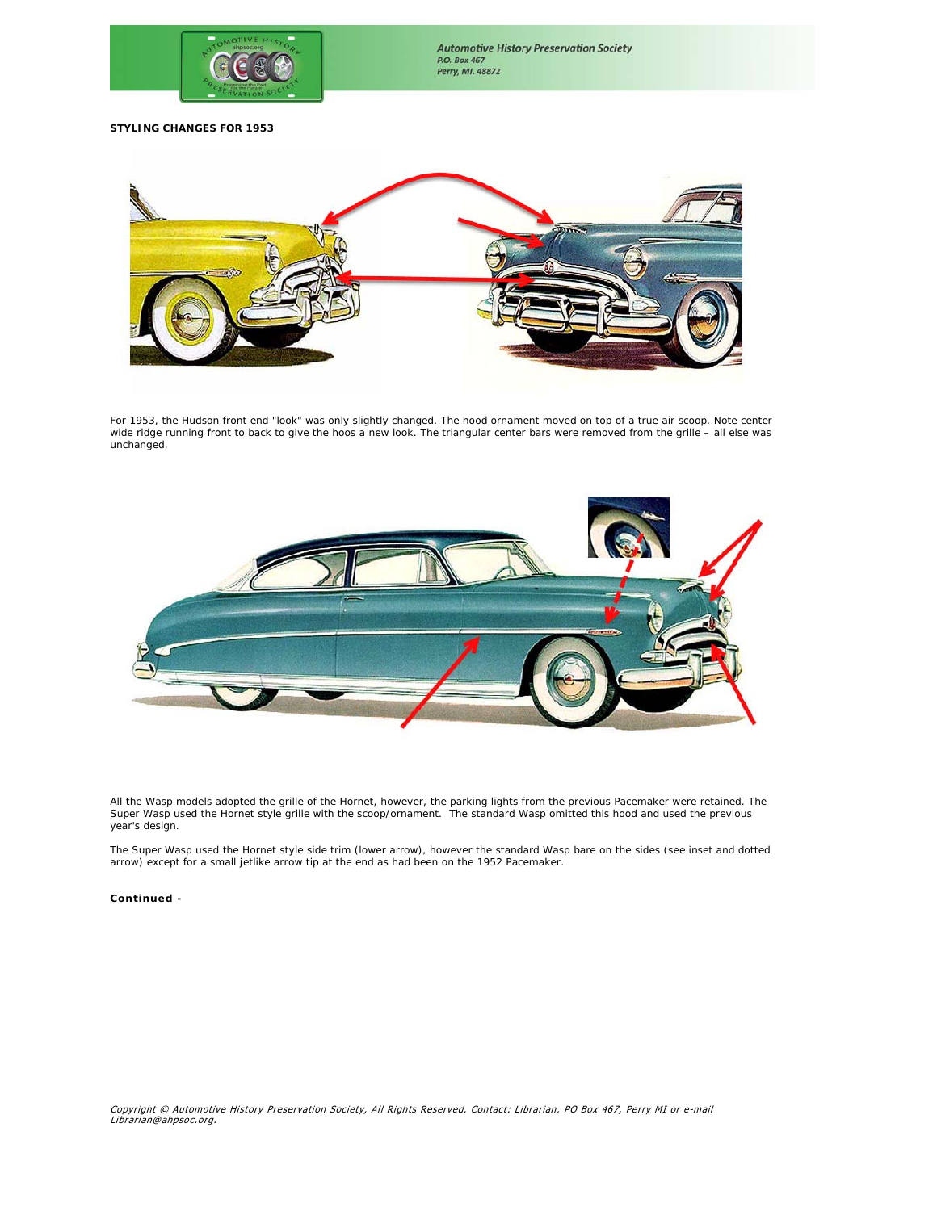

**STYLING CHANGES FOR 1953**



For 1953, the Hudson front end "look" was only slightly changed. The hood ornament moved on top of a true air scoop. Note center<br>wide ridge running front to back to give the hoos a new look. The triangular center bars were unchanged.



All the Wasp models adopted the grille of the Hornet, however, the parking lights from the previous Pacemaker were retained. The Super Wasp used the Hornet style grille with the scoop/ornament. The standard Wasp omitted this hood and used the previous year's design.

The Super Wasp used the Hornet style side trim (lower arrow), however the standard Wasp bare on the sides (see inset and dotted arrow) except for a small jetlike arrow tip at the end as had been on the 1952 Pacemaker.

### *Continued -*